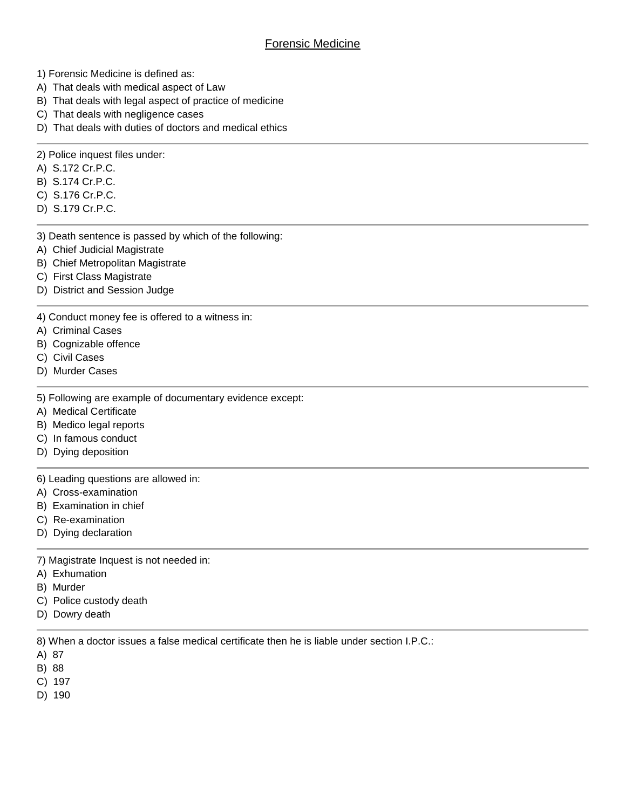- 1) Forensic Medicine is defined as:
- A) That deals with medical aspect of Law
- B) That deals with legal aspect of practice of medicine
- C) That deals with negligence cases
- D) That deals with duties of doctors and medical ethics
- 2) Police inquest files under:
- A) S.172 Cr.P.C.
- B) S.174 Cr.P.C.
- C) S.176 Cr.P.C.
- D) S.179 Cr.P.C.
- 3) Death sentence is passed by which of the following:
- A) Chief Judicial Magistrate
- B) Chief Metropolitan Magistrate
- C) First Class Magistrate
- D) District and Session Judge

4) Conduct money fee is offered to a witness in:

- A) Criminal Cases
- B) Cognizable offence
- C) Civil Cases
- D) Murder Cases

5) Following are example of documentary evidence except:

- A) Medical Certificate
- B) Medico legal reports
- C) In famous conduct
- D) Dying deposition

6) Leading questions are allowed in:

- A) Cross-examination
- B) Examination in chief
- C) Re-examination
- D) Dying declaration

7) Magistrate Inquest is not needed in:

- A) Exhumation
- B) Murder
- C) Police custody death
- D) Dowry death

8) When a doctor issues a false medical certificate then he is liable under section I.P.C.:

A) 87

B) 88

- C) 197
- D) 190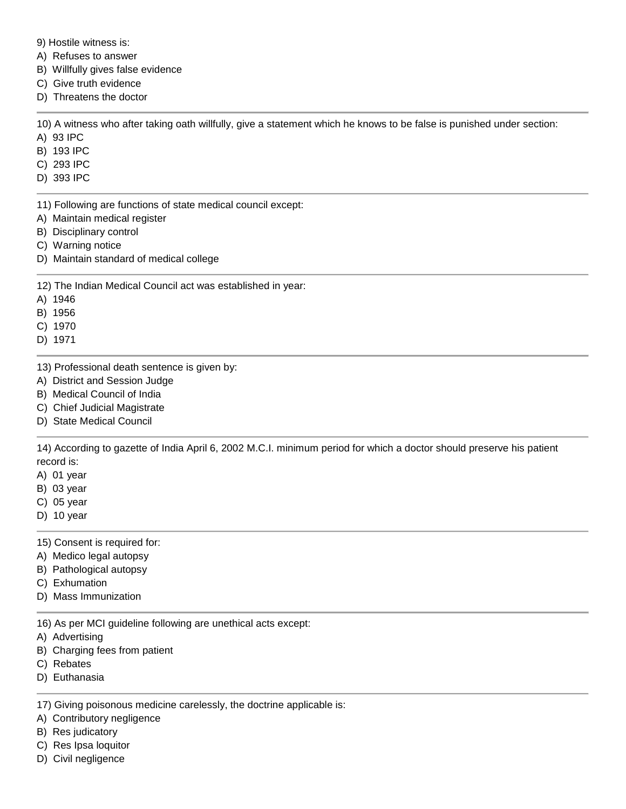9) Hostile witness is:

A) Refuses to answer

B) Willfully gives false evidence

C) Give truth evidence

D) Threatens the doctor

10) A witness who after taking oath willfully, give a statement which he knows to be false is punished under section:

A) 93 IPC

- B) 193 IPC
- C) 293 IPC
- D) 393 IPC

11) Following are functions of state medical council except:

- A) Maintain medical register
- B) Disciplinary control
- C) Warning notice
- D) Maintain standard of medical college

12) The Indian Medical Council act was established in year:

- A) 1946
- B) 1956

C) 1970

- D) 1971
- 13) Professional death sentence is given by:
- A) District and Session Judge
- B) Medical Council of India
- C) Chief Judicial Magistrate
- D) State Medical Council

14) According to gazette of India April 6, 2002 M.C.I. minimum period for which a doctor should preserve his patient record is:

- A) 01 year
- B) 03 year
- C) 05 year
- D) 10 year

15) Consent is required for:

- A) Medico legal autopsy
- B) Pathological autopsy
- C) Exhumation
- D) Mass Immunization

16) As per MCI guideline following are unethical acts except:

- A) Advertising
- B) Charging fees from patient
- C) Rebates
- D) Euthanasia

17) Giving poisonous medicine carelessly, the doctrine applicable is:

A) Contributory negligence

- B) Res judicatory
- C) Res Ipsa loquitor
- D) Civil negligence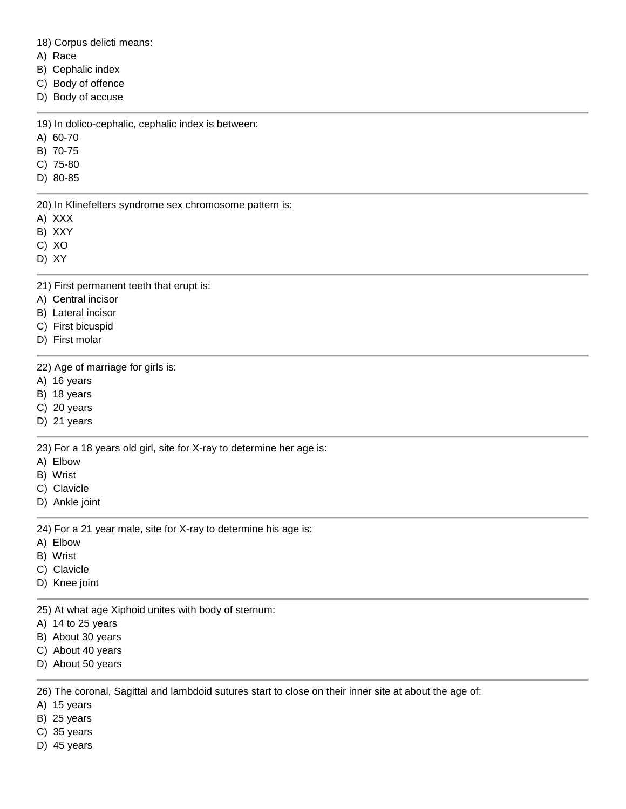18) Corpus delicti means:

A) Race

B) Cephalic index

C) Body of offence

D) Body of accuse

19) In dolico-cephalic, cephalic index is between:

A) 60-70

B) 70-75

C) 75-80

D) 80-85

20) In Klinefelters syndrome sex chromosome pattern is:

A) XXX

B) XXY

C) XO

D) XY

21) First permanent teeth that erupt is:

- A) Central incisor
- B) Lateral incisor
- C) First bicuspid
- D) First molar

22) Age of marriage for girls is:

A) 16 years

B) 18 years

- C) 20 years
- D) 21 years

23) For a 18 years old girl, site for X-ray to determine her age is:

A) Elbow

B) Wrist

- C) Clavicle
- D) Ankle joint

24) For a 21 year male, site for X-ray to determine his age is:

- A) Elbow
- B) Wrist
- C) Clavicle
- D) Knee joint

25) At what age Xiphoid unites with body of sternum:

- A) 14 to 25 years
- B) About 30 years
- C) About 40 years
- D) About 50 years

26) The coronal, Sagittal and lambdoid sutures start to close on their inner site at about the age of:

- A) 15 years
- B) 25 years
- C) 35 years
- D) 45 years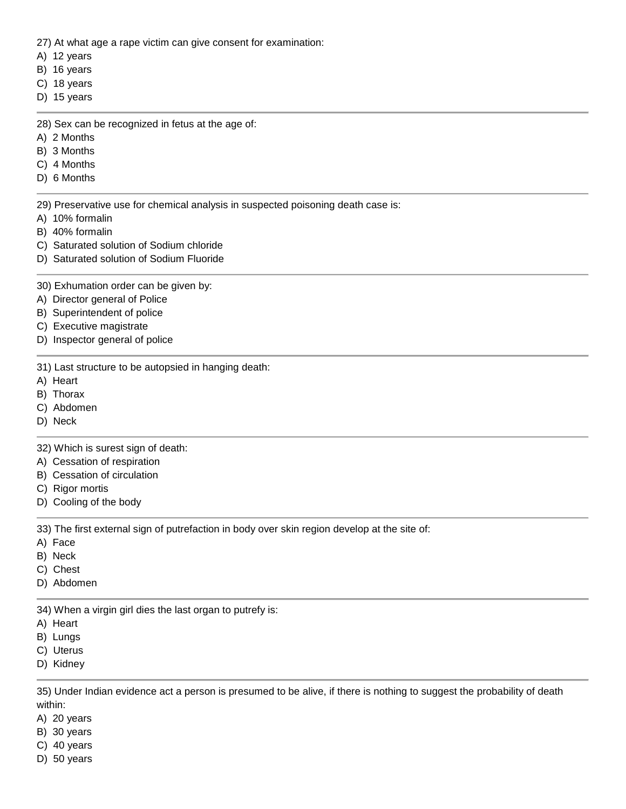27) At what age a rape victim can give consent for examination:

- A) 12 years
- B) 16 years
- C) 18 years
- D) 15 years

28) Sex can be recognized in fetus at the age of:

- A) 2 Months
- B) 3 Months
- C) 4 Months
- D) 6 Months

29) Preservative use for chemical analysis in suspected poisoning death case is:

- A) 10% formalin
- B) 40% formalin
- C) Saturated solution of Sodium chloride
- D) Saturated solution of Sodium Fluoride

30) Exhumation order can be given by:

- A) Director general of Police
- B) Superintendent of police
- C) Executive magistrate
- D) Inspector general of police

31) Last structure to be autopsied in hanging death:

- A) Heart
- B) Thorax
- C) Abdomen
- D) Neck

32) Which is surest sign of death:

- A) Cessation of respiration
- B) Cessation of circulation
- C) Rigor mortis
- D) Cooling of the body

33) The first external sign of putrefaction in body over skin region develop at the site of:

- A) Face
- B) Neck
- C) Chest
- D) Abdomen

34) When a virgin girl dies the last organ to putrefy is:

- A) Heart
- B) Lungs
- C) Uterus
- D) Kidney

35) Under Indian evidence act a person is presumed to be alive, if there is nothing to suggest the probability of death within:

- A) 20 years
- B) 30 years
- C) 40 years
- D) 50 years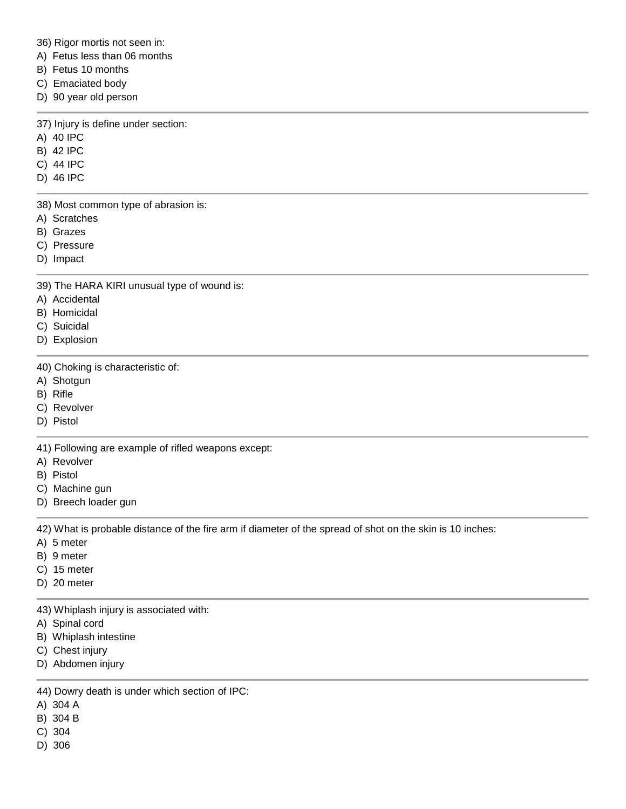36) Rigor mortis not seen in:

A) Fetus less than 06 months

- B) Fetus 10 months
- C) Emaciated body
- D) 90 year old person

37) Injury is define under section:

- A) 40 IPC
- B) 42 IPC
- C) 44 IPC
- D) 46 IPC

38) Most common type of abrasion is:

- A) Scratches
- B) Grazes
- C) Pressure
- D) Impact

39) The HARA KIRI unusual type of wound is:

- A) Accidental
- B) Homicidal
- C) Suicidal
- D) Explosion

40) Choking is characteristic of:

- A) Shotgun
- B) Rifle
- C) Revolver
- D) Pistol

41) Following are example of rifled weapons except:

- A) Revolver
- B) Pistol
- C) Machine gun
- D) Breech loader gun

42) What is probable distance of the fire arm if diameter of the spread of shot on the skin is 10 inches:

- A) 5 meter
- B) 9 meter
- C) 15 meter
- D) 20 meter

43) Whiplash injury is associated with:

- A) Spinal cord
- B) Whiplash intestine
- C) Chest injury
- D) Abdomen injury

44) Dowry death is under which section of IPC:

- A) 304 A
- B) 304 B
- C) 304
- D) 306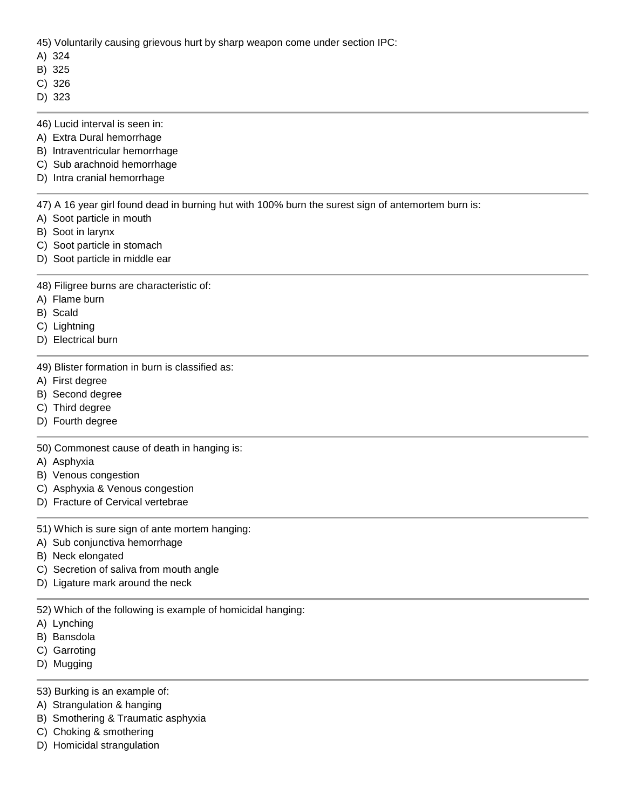45) Voluntarily causing grievous hurt by sharp weapon come under section IPC:

- A) 324
- B) 325
- C) 326
- D) 323
- 46) Lucid interval is seen in:
- A) Extra Dural hemorrhage
- B) Intraventricular hemorrhage
- C) Sub arachnoid hemorrhage
- D) Intra cranial hemorrhage

47) A 16 year girl found dead in burning hut with 100% burn the surest sign of antemortem burn is:

- A) Soot particle in mouth
- B) Soot in larynx
- C) Soot particle in stomach
- D) Soot particle in middle ear

48) Filigree burns are characteristic of:

- A) Flame burn
- B) Scald
- C) Lightning
- D) Electrical burn

49) Blister formation in burn is classified as:

- A) First degree
- B) Second degree
- C) Third degree
- D) Fourth degree

50) Commonest cause of death in hanging is:

- A) Asphyxia
- B) Venous congestion
- C) Asphyxia & Venous congestion
- D) Fracture of Cervical vertebrae

51) Which is sure sign of ante mortem hanging:

- A) Sub conjunctiva hemorrhage
- B) Neck elongated
- C) Secretion of saliva from mouth angle
- D) Ligature mark around the neck

52) Which of the following is example of homicidal hanging:

- A) Lynching
- B) Bansdola
- C) Garroting
- D) Mugging

53) Burking is an example of:

- A) Strangulation & hanging
- B) Smothering & Traumatic asphyxia
- C) Choking & smothering
- D) Homicidal strangulation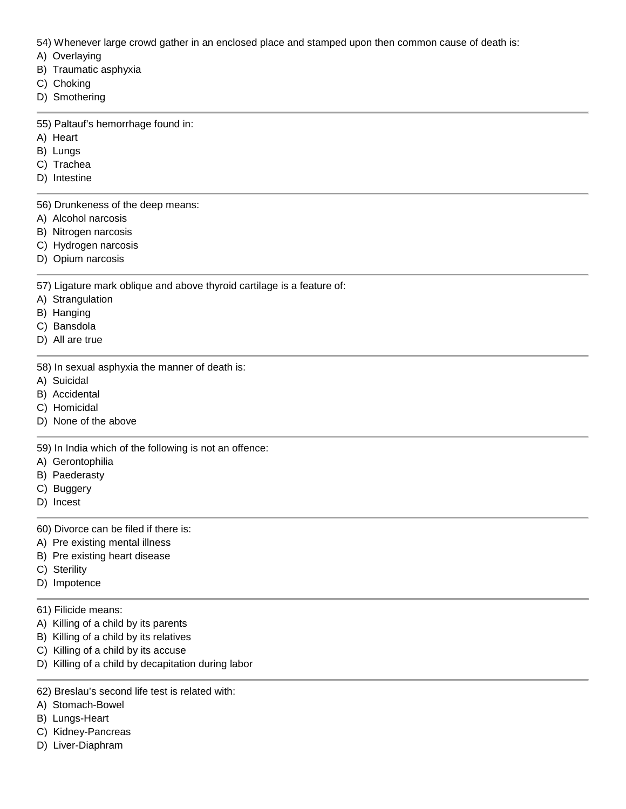54) Whenever large crowd gather in an enclosed place and stamped upon then common cause of death is:

- A) Overlaying
- B) Traumatic asphyxia
- C) Choking
- D) Smothering

55) Paltauf's hemorrhage found in:

- A) Heart
- B) Lungs
- C) Trachea
- D) Intestine

56) Drunkeness of the deep means:

- A) Alcohol narcosis
- B) Nitrogen narcosis
- C) Hydrogen narcosis
- D) Opium narcosis

57) Ligature mark oblique and above thyroid cartilage is a feature of:

- A) Strangulation
- B) Hanging
- C) Bansdola
- D) All are true

58) In sexual asphyxia the manner of death is:

- A) Suicidal
- B) Accidental
- C) Homicidal
- D) None of the above

59) In India which of the following is not an offence:

- A) Gerontophilia
- B) Paederasty
- C) Buggery
- D) Incest
- 60) Divorce can be filed if there is:
- A) Pre existing mental illness
- B) Pre existing heart disease
- C) Sterility
- D) Impotence
- 61) Filicide means:
- A) Killing of a child by its parents
- B) Killing of a child by its relatives
- C) Killing of a child by its accuse
- D) Killing of a child by decapitation during labor
- 62) Breslau's second life test is related with:
- A) Stomach-Bowel
- B) Lungs-Heart
- C) Kidney-Pancreas
- D) Liver-Diaphram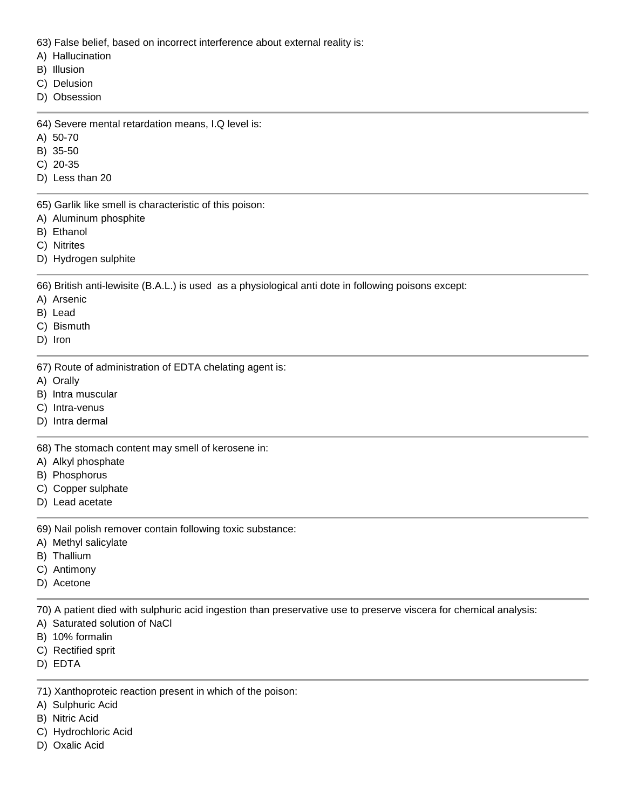63) False belief, based on incorrect interference about external reality is:

- A) Hallucination
- B) Illusion
- C) Delusion
- D) Obsession

64) Severe mental retardation means, I.Q level is:

- A) 50-70
- B) 35-50
- C) 20-35
- D) Less than 20

65) Garlik like smell is characteristic of this poison:

- A) Aluminum phosphite
- B) Ethanol
- C) Nitrites
- D) Hydrogen sulphite

66) British anti-lewisite (B.A.L.) is used as a physiological anti dote in following poisons except:

- A) Arsenic
- B) Lead
- C) Bismuth
- D) Iron

67) Route of administration of EDTA chelating agent is:

- A) Orally
- B) Intra muscular
- C) Intra-venus
- D) Intra dermal

68) The stomach content may smell of kerosene in:

- A) Alkyl phosphate
- B) Phosphorus
- C) Copper sulphate
- D) Lead acetate

69) Nail polish remover contain following toxic substance:

- A) Methyl salicylate
- B) Thallium
- C) Antimony
- D) Acetone

70) A patient died with sulphuric acid ingestion than preservative use to preserve viscera for chemical analysis:

- A) Saturated solution of NaCl
- B) 10% formalin
- C) Rectified sprit
- D) EDTA
- 71) Xanthoproteic reaction present in which of the poison:
- A) Sulphuric Acid
- B) Nitric Acid
- C) Hydrochloric Acid
- D) Oxalic Acid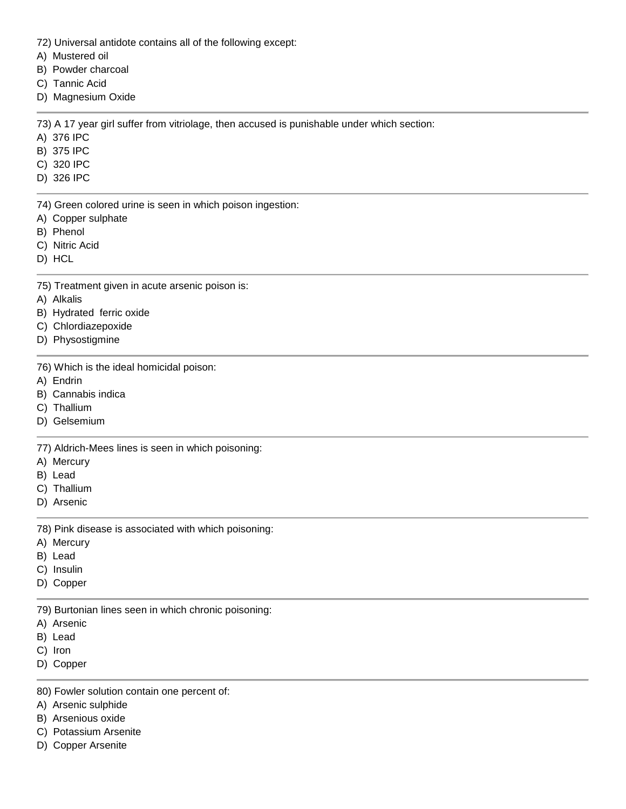- 72) Universal antidote contains all of the following except:
- A) Mustered oil
- B) Powder charcoal
- C) Tannic Acid
- D) Magnesium Oxide

73) A 17 year girl suffer from vitriolage, then accused is punishable under which section:

- A) 376 IPC
- B) 375 IPC
- C) 320 IPC
- D) 326 IPC
- 74) Green colored urine is seen in which poison ingestion:
- A) Copper sulphate
- B) Phenol
- C) Nitric Acid
- D) HCL
- 75) Treatment given in acute arsenic poison is:
- A) Alkalis
- B) Hydrated ferric oxide
- C) Chlordiazepoxide
- D) Physostigmine
- 76) Which is the ideal homicidal poison:
- A) Endrin
- B) Cannabis indica
- C) Thallium
- D) Gelsemium

77) Aldrich-Mees lines is seen in which poisoning:

- A) Mercury
- B) Lead
- C) Thallium
- D) Arsenic
- 78) Pink disease is associated with which poisoning:
- A) Mercury
- B) Lead
- C) Insulin
- D) Copper
- 79) Burtonian lines seen in which chronic poisoning:
- A) Arsenic
- B) Lead
- C) Iron
- D) Copper
- 80) Fowler solution contain one percent of:
- A) Arsenic sulphide
- B) Arsenious oxide
- C) Potassium Arsenite
- D) Copper Arsenite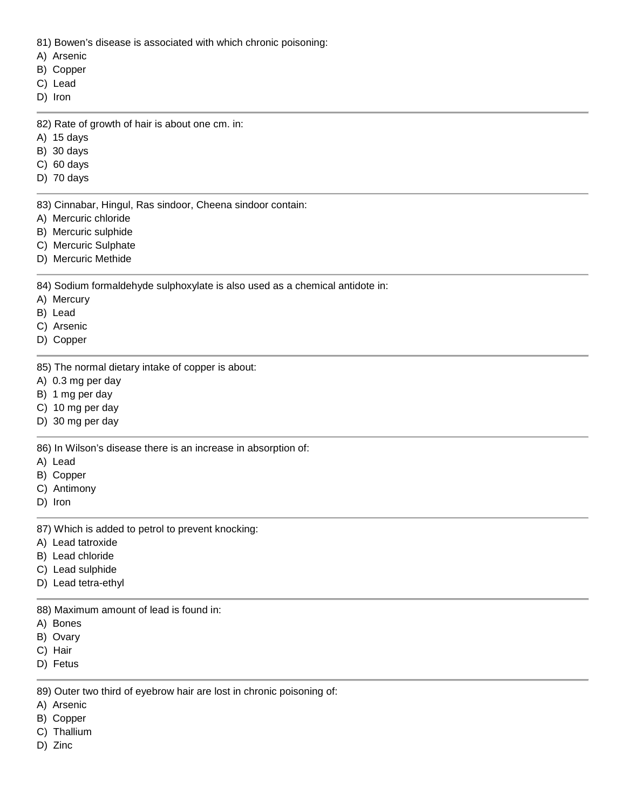81) Bowen's disease is associated with which chronic poisoning:

- A) Arsenic
- B) Copper
- C) Lead
- D) Iron

82) Rate of growth of hair is about one cm. in:

- A) 15 days
- B) 30 days
- C) 60 days
- D) 70 days

83) Cinnabar, Hingul, Ras sindoor, Cheena sindoor contain:

- A) Mercuric chloride
- B) Mercuric sulphide
- C) Mercuric Sulphate
- D) Mercuric Methide

84) Sodium formaldehyde sulphoxylate is also used as a chemical antidote in:

- A) Mercury
- B) Lead
- C) Arsenic
- D) Copper

85) The normal dietary intake of copper is about:

- A) 0.3 mg per day
- B) 1 mg per day
- C) 10 mg per day
- D) 30 mg per day

86) In Wilson's disease there is an increase in absorption of:

- A) Lead
- B) Copper
- C) Antimony
- D) Iron

87) Which is added to petrol to prevent knocking:

- A) Lead tatroxide
- B) Lead chloride
- C) Lead sulphide
- D) Lead tetra-ethyl

88) Maximum amount of lead is found in:

- A) Bones
- B) Ovary
- C) Hair
- D) Fetus

89) Outer two third of eyebrow hair are lost in chronic poisoning of:

- A) Arsenic
- B) Copper
- C) Thallium
- D) Zinc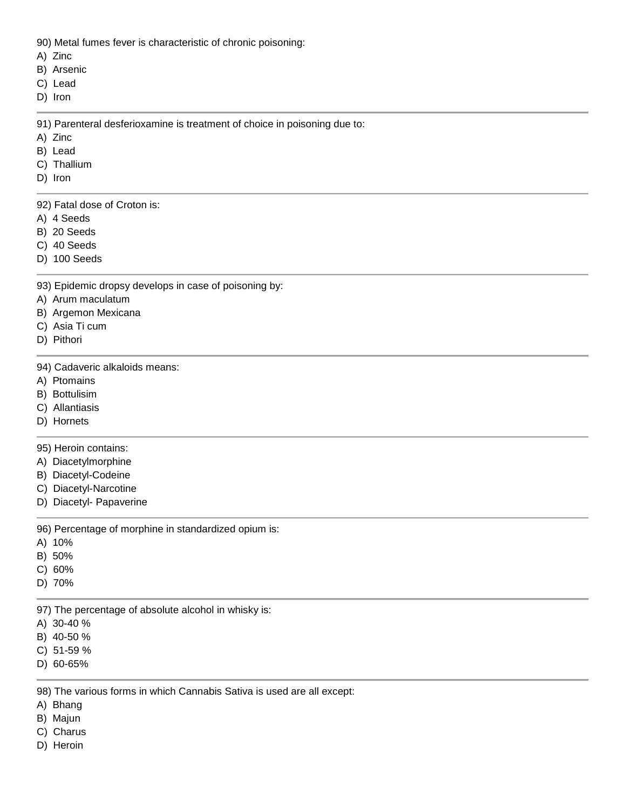90) Metal fumes fever is characteristic of chronic poisoning:

- A) Zinc
- B) Arsenic
- C) Lead
- D) Iron

91) Parenteral desferioxamine is treatment of choice in poisoning due to:

- A) Zinc
- B) Lead
- C) Thallium
- D) Iron

92) Fatal dose of Croton is:

- A) 4 Seeds
- B) 20 Seeds
- C) 40 Seeds
- D) 100 Seeds
- 93) Epidemic dropsy develops in case of poisoning by:
- A) Arum maculatum
- B) Argemon Mexicana
- C) Asia Ti cum
- D) Pithori
- 94) Cadaveric alkaloids means:
- A) Ptomains
- B) Bottulisim
- C) Allantiasis
- D) Hornets

## 95) Heroin contains:

- A) Diacetylmorphine
- B) Diacetyl-Codeine
- C) Diacetyl-Narcotine
- D) Diacetyl- Papaverine

96) Percentage of morphine in standardized opium is:

- A) 10%
- B) 50%
- C) 60%
- D) 70%

97) The percentage of absolute alcohol in whisky is:

- A) 30-40 %
- B) 40-50 %
- C) 51-59 %
- D) 60-65%

98) The various forms in which Cannabis Sativa is used are all except:

- A) Bhang
- B) Majun
- C) Charus
- D) Heroin